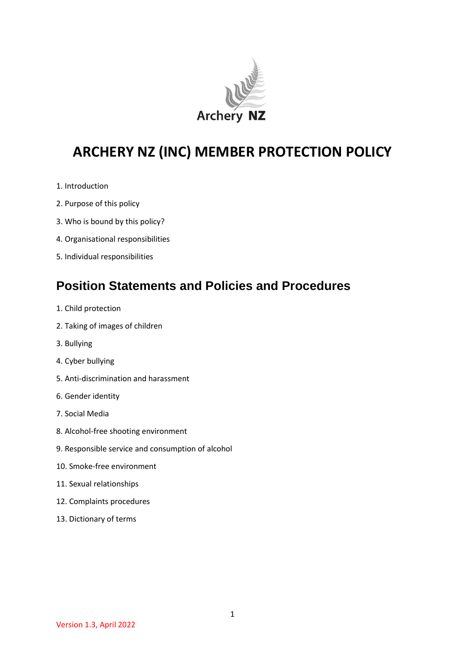

# **ARCHERY NZ (INC) MEMBER PROTECTION POLICY**

- 1. Introduction
- 2. Purpose of this policy
- 3. Who is bound by this policy?
- 4. Organisational responsibilities
- 5. Individual responsibilities

## **Position Statements and Policies and Procedures**

- 1. Child protection
- 2. Taking of images of children
- 3. Bullying
- 4. Cyber bullying
- 5. Anti-discrimination and harassment
- 6. Gender identity
- 7. Social Media
- 8. Alcohol-free shooting environment
- 9. Responsible service and consumption of alcohol
- 10. Smoke-free environment
- 11. Sexual relationships
- 12. Complaints procedures
- 13. Dictionary of terms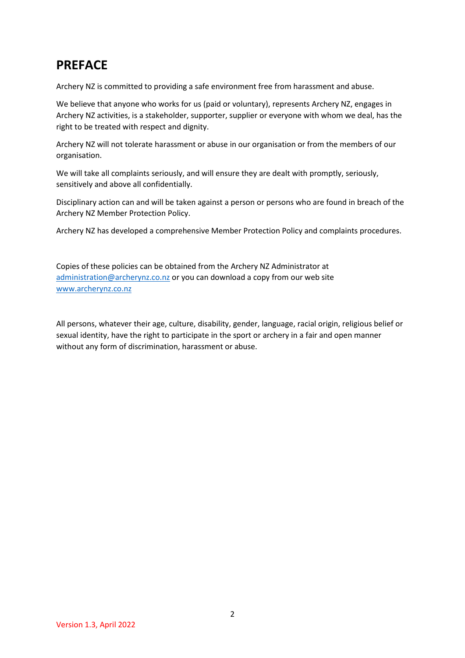# **PREFACE**

Archery NZ is committed to providing a safe environment free from harassment and abuse.

We believe that anyone who works for us (paid or voluntary), represents Archery NZ, engages in Archery NZ activities, is a stakeholder, supporter, supplier or everyone with whom we deal, has the right to be treated with respect and dignity.

Archery NZ will not tolerate harassment or abuse in our organisation or from the members of our organisation.

We will take all complaints seriously, and will ensure they are dealt with promptly, seriously, sensitively and above all confidentially.

Disciplinary action can and will be taken against a person or persons who are found in breach of the Archery NZ Member Protection Policy.

Archery NZ has developed a comprehensive Member Protection Policy and complaints procedures.

Copies of these policies can be obtained from the Archery NZ Administrator at [administration@archerynz.co.nz](mailto:administration@archerynz.co.nz) or you can download a copy from our web site [www.archerynz.co.nz](http://www.archerynz.co.nz/)

All persons, whatever their age, culture, disability, gender, language, racial origin, religious belief or sexual identity, have the right to participate in the sport or archery in a fair and open manner without any form of discrimination, harassment or abuse.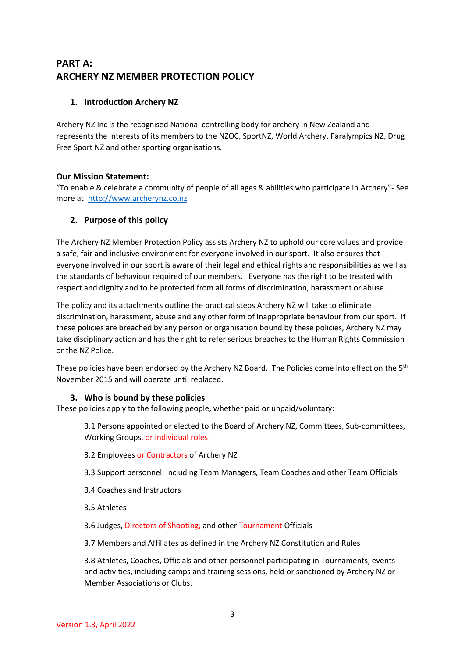#### **PART A: ARCHERY NZ MEMBER PROTECTION POLICY**

#### **1. Introduction Archery NZ**

Archery NZ Inc is the recognised National controlling body for archery in New Zealand and represents the interests of its members to the NZOC, SportNZ, World Archery, Paralympics NZ, Drug Free Sport NZ and other sporting organisations.

#### **Our Mission Statement:**

"To enable & celebrate a community of people of all ages & abilities who participate in Archery"- See more at: [http://www.archerynz.co.nz](http://www.archerynz.co.nz/) 

#### **2. Purpose of this policy**

The Archery NZ Member Protection Policy assists Archery NZ to uphold our core values and provide a safe, fair and inclusive environment for everyone involved in our sport. It also ensures that everyone involved in our sport is aware of their legal and ethical rights and responsibilities as well as the standards of behaviour required of our members. Everyone has the right to be treated with respect and dignity and to be protected from all forms of discrimination, harassment or abuse.

The policy and its attachments outline the practical steps Archery NZ will take to eliminate discrimination, harassment, abuse and any other form of inappropriate behaviour from our sport. If these policies are breached by any person or organisation bound by these policies, Archery NZ may take disciplinary action and has the right to refer serious breaches to the Human Rights Commission or the NZ Police.

These policies have been endorsed by the Archery NZ Board. The Policies come into effect on the 5<sup>th</sup> November 2015 and will operate until replaced.

#### **3. Who is bound by these policies**

These policies apply to the following people, whether paid or unpaid/voluntary:

3.1 Persons appointed or elected to the Board of Archery NZ, Committees, Sub-committees, Working Groups, or individual roles.

- 3.2 Employees or Contractors of Archery NZ
- 3.3 Support personnel, including Team Managers, Team Coaches and other Team Officials
- 3.4 Coaches and Instructors
- 3.5 Athletes
- 3.6 Judges, Directors of Shooting, and other Tournament Officials
- 3.7 Members and Affiliates as defined in the Archery NZ Constitution and Rules

3.8 Athletes, Coaches, Officials and other personnel participating in Tournaments, events and activities, including camps and training sessions, held or sanctioned by Archery NZ or Member Associations or Clubs.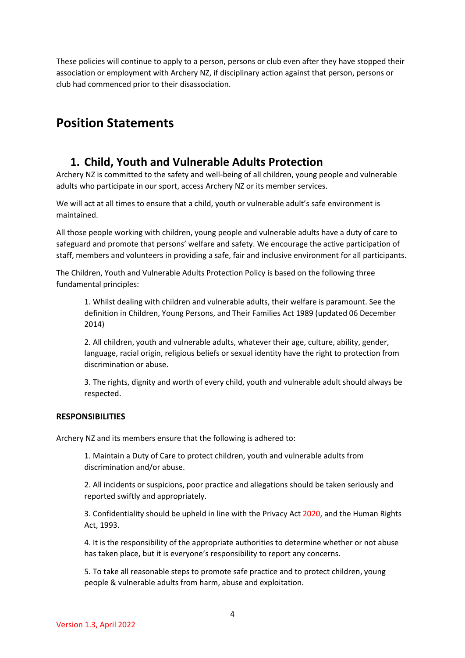These policies will continue to apply to a person, persons or club even after they have stopped their association or employment with Archery NZ, if disciplinary action against that person, persons or club had commenced prior to their disassociation.

### **Position Statements**

#### **1. Child, Youth and Vulnerable Adults Protection**

Archery NZ is committed to the safety and well-being of all children, young people and vulnerable adults who participate in our sport, access Archery NZ or its member services.

We will act at all times to ensure that a child, youth or vulnerable adult's safe environment is maintained.

All those people working with children, young people and vulnerable adults have a duty of care to safeguard and promote that persons' welfare and safety. We encourage the active participation of staff, members and volunteers in providing a safe, fair and inclusive environment for all participants.

The Children, Youth and Vulnerable Adults Protection Policy is based on the following three fundamental principles:

1. Whilst dealing with children and vulnerable adults, their welfare is paramount. See the definition in Children, Young Persons, and Their Families Act 1989 (updated 06 December 2014)

2. All children, youth and vulnerable adults, whatever their age, culture, ability, gender, language, racial origin, religious beliefs or sexual identity have the right to protection from discrimination or abuse.

3. The rights, dignity and worth of every child, youth and vulnerable adult should always be respected.

#### **RESPONSIBILITIES**

Archery NZ and its members ensure that the following is adhered to:

1. Maintain a Duty of Care to protect children, youth and vulnerable adults from discrimination and/or abuse.

2. All incidents or suspicions, poor practice and allegations should be taken seriously and reported swiftly and appropriately.

3. Confidentiality should be upheld in line with the Privacy Act 2020, and the Human Rights Act, 1993.

4. It is the responsibility of the appropriate authorities to determine whether or not abuse has taken place, but it is everyone's responsibility to report any concerns.

5. To take all reasonable steps to promote safe practice and to protect children, young people & vulnerable adults from harm, abuse and exploitation.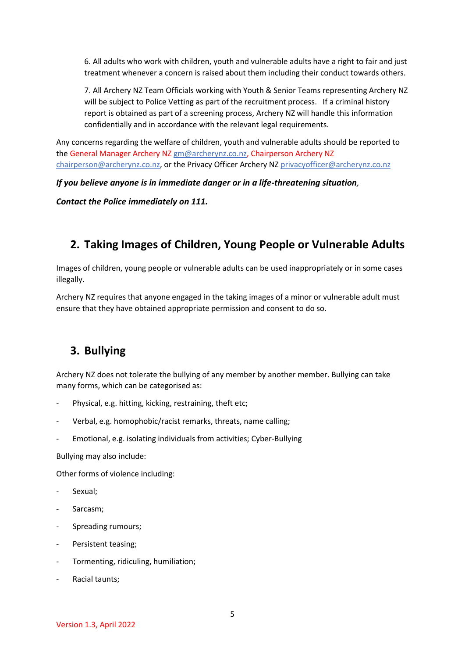6. All adults who work with children, youth and vulnerable adults have a right to fair and just treatment whenever a concern is raised about them including their conduct towards others.

7. All Archery NZ Team Officials working with Youth & Senior Teams representing Archery NZ will be subject to Police Vetting as part of the recruitment process. If a criminal history report is obtained as part of a screening process, Archery NZ will handle this information confidentially and in accordance with the relevant legal requirements.

Any concerns regarding the welfare of children, youth and vulnerable adults should be reported to the General Manager Archery NZ [gm@archerynz.co.nz,](mailto:gm@archerynz.co.nz) Chairperson Archery NZ [chairperson@archerynz.co.nz,](mailto:chairperson@archerynz.co.nz) or the Privacy Officer Archery NZ [privacyofficer@archerynz.co.nz](mailto:privacyofficer@archerynz.co.nz)

*If you believe anyone is in immediate danger or in a life-threatening situation,*

*Contact the Police immediately on 111.*

### **2. Taking Images of Children, Young People or Vulnerable Adults**

Images of children, young people or vulnerable adults can be used inappropriately or in some cases illegally.

Archery NZ requires that anyone engaged in the taking images of a minor or vulnerable adult must ensure that they have obtained appropriate permission and consent to do so.

### **3. Bullying**

Archery NZ does not tolerate the bullying of any member by another member. Bullying can take many forms, which can be categorised as:

- Physical, e.g. hitting, kicking, restraining, theft etc;
- Verbal, e.g. homophobic/racist remarks, threats, name calling;
- Emotional, e.g. isolating individuals from activities; Cyber-Bullying

Bullying may also include:

Other forms of violence including:

- Sexual;
- Sarcasm:
- Spreading rumours;
- Persistent teasing:
- Tormenting, ridiculing, humiliation;
- Racial taunts: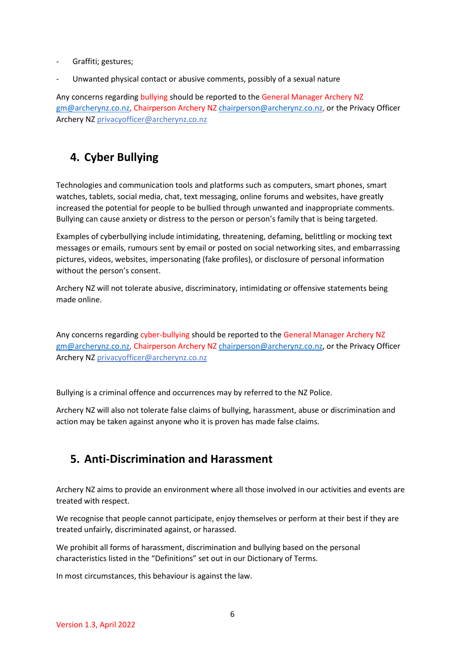- Graffiti; gestures;
- Unwanted physical contact or abusive comments, possibly of a sexual nature

Any concerns regarding bullying should be reported to the General Manager Archery NZ [gm@archerynz.co.nz,](mailto:gm@archerynz.co.nz) Chairperson Archery NZ [chairperson@archerynz.co.nz,](mailto:chairperson@archerynz.co.nz) or the Privacy Officer Archery NZ [privacyofficer@archerynz.co.nz](mailto:privacyofficer@archerynz.co.nz)

### **4. Cyber Bullying**

Technologies and communication tools and platforms such as computers, smart phones, smart watches, tablets, social media, chat, text messaging, online forums and websites, have greatly increased the potential for people to be bullied through unwanted and inappropriate comments. Bullying can cause anxiety or distress to the person or person's family that is being targeted.

Examples of cyberbullying include intimidating, threatening, defaming, belittling or mocking text messages or emails, rumours sent by email or posted on social networking sites, and embarrassing pictures, videos, websites, impersonating (fake profiles), or disclosure of personal information without the person's consent.

Archery NZ will not tolerate abusive, discriminatory, intimidating or offensive statements being made online.

Any concerns regarding cyber-bullying should be reported to the General Manager Archery NZ [gm@archerynz.co.nz,](mailto:gm@archerynz.co.nz) Chairperson Archery NZ [chairperson@archerynz.co.nz,](mailto:chairperson@archerynz.co.nz) or the Privacy Officer Archery NZ [privacyofficer@archerynz.co.nz](mailto:privacyofficer@archerynz.co.nz)

Bullying is a criminal offence and occurrences may by referred to the NZ Police.

Archery NZ will also not tolerate false claims of bullying, harassment, abuse or discrimination and action may be taken against anyone who it is proven has made false claims.

### **5. Anti-Discrimination and Harassment**

Archery NZ aims to provide an environment where all those involved in our activities and events are treated with respect.

We recognise that people cannot participate, enjoy themselves or perform at their best if they are treated unfairly, discriminated against, or harassed.

We prohibit all forms of harassment, discrimination and bullying based on the personal characteristics listed in the "Definitions" set out in our Dictionary of Terms.

In most circumstances, this behaviour is against the law.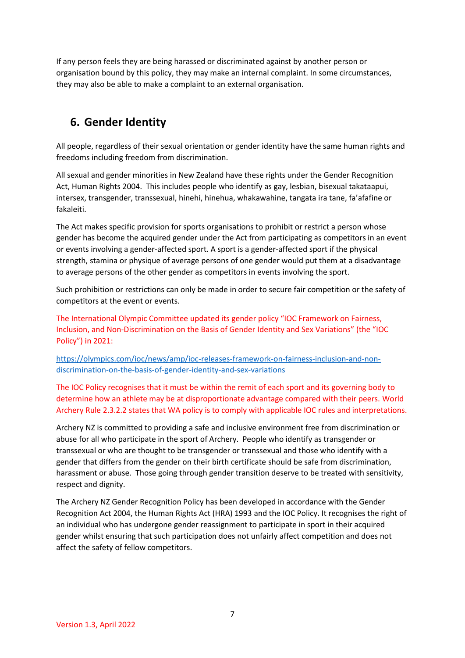If any person feels they are being harassed or discriminated against by another person or organisation bound by this policy, they may make an internal complaint. In some circumstances, they may also be able to make a complaint to an external organisation.

### **6. Gender Identity**

All people, regardless of their sexual orientation or gender identity have the same human rights and freedoms including freedom from discrimination.

All sexual and gender minorities in New Zealand have these rights under the Gender Recognition Act, Human Rights 2004. This includes people who identify as gay, lesbian, bisexual takataapui, intersex, transgender, transsexual, hinehi, hinehua, whakawahine, tangata ira tane, fa'afafine or fakaleiti.

The Act makes specific provision for sports organisations to prohibit or restrict a person whose gender has become the acquired gender under the Act from participating as competitors in an event or events involving a gender-affected sport. A sport is a gender-affected sport if the physical strength, stamina or physique of average persons of one gender would put them at a disadvantage to average persons of the other gender as competitors in events involving the sport.

Such prohibition or restrictions can only be made in order to secure fair competition or the safety of competitors at the event or events.

The International Olympic Committee updated its gender policy "IOC Framework on Fairness, Inclusion, and Non-Discrimination on the Basis of Gender Identity and Sex Variations" (the "IOC Policy") in 2021:

[https://olympics.com/ioc/news/amp/ioc-releases-framework-on-fairness-inclusion-and-non](https://olympics.com/ioc/news/amp/ioc-releases-framework-on-fairness-inclusion-and-non-discrimination-on-the-basis-of-gender-identity-and-sex-variations)[discrimination-on-the-basis-of-gender-identity-and-sex-variations](https://olympics.com/ioc/news/amp/ioc-releases-framework-on-fairness-inclusion-and-non-discrimination-on-the-basis-of-gender-identity-and-sex-variations)

The IOC Policy recognises that it must be within the remit of each sport and its governing body to determine how an athlete may be at disproportionate advantage compared with their peers. World Archery Rule 2.3.2.2 states that WA policy is to comply with applicable IOC rules and interpretations.

Archery NZ is committed to providing a safe and inclusive environment free from discrimination or abuse for all who participate in the sport of Archery. People who identify as transgender or transsexual or who are thought to be transgender or transsexual and those who identify with a gender that differs from the gender on their birth certificate should be safe from discrimination, harassment or abuse. Those going through gender transition deserve to be treated with sensitivity, respect and dignity.

The Archery NZ Gender Recognition Policy has been developed in accordance with the Gender Recognition Act 2004, the Human Rights Act (HRA) 1993 and the IOC Policy. It recognises the right of an individual who has undergone gender reassignment to participate in sport in their acquired gender whilst ensuring that such participation does not unfairly affect competition and does not affect the safety of fellow competitors.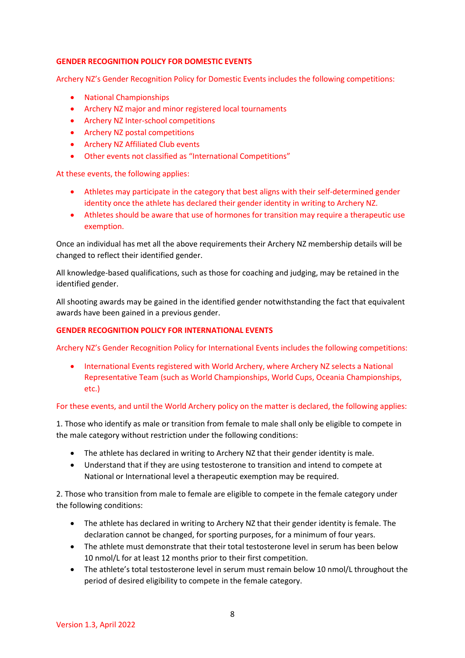#### **GENDER RECOGNITION POLICY FOR DOMESTIC EVENTS**

Archery NZ's Gender Recognition Policy for Domestic Events includes the following competitions:

- National Championships
- Archery NZ major and minor registered local tournaments
- Archery NZ Inter-school competitions
- Archery NZ postal competitions
- Archery NZ Affiliated Club events
- Other events not classified as "International Competitions"

At these events, the following applies:

- Athletes may participate in the category that best aligns with their self-determined gender identity once the athlete has declared their gender identity in writing to Archery NZ.
- Athletes should be aware that use of hormones for transition may require a therapeutic use exemption.

Once an individual has met all the above requirements their Archery NZ membership details will be changed to reflect their identified gender.

All knowledge-based qualifications, such as those for coaching and judging, may be retained in the identified gender.

All shooting awards may be gained in the identified gender notwithstanding the fact that equivalent awards have been gained in a previous gender.

#### **GENDER RECOGNITION POLICY FOR INTERNATIONAL EVENTS**

Archery NZ's Gender Recognition Policy for International Events includes the following competitions:

• International Events registered with World Archery, where Archery NZ selects a National Representative Team (such as World Championships, World Cups, Oceania Championships, etc.)

#### For these events, and until the World Archery policy on the matter is declared, the following applies:

1. Those who identify as male or transition from female to male shall only be eligible to compete in the male category without restriction under the following conditions:

- The athlete has declared in writing to Archery NZ that their gender identity is male.
- Understand that if they are using testosterone to transition and intend to compete at National or International level a therapeutic exemption may be required.

2. Those who transition from male to female are eligible to compete in the female category under the following conditions:

- The athlete has declared in writing to Archery NZ that their gender identity is female. The declaration cannot be changed, for sporting purposes, for a minimum of four years.
- The athlete must demonstrate that their total testosterone level in serum has been below 10 nmol/L for at least 12 months prior to their first competition.
- The athlete's total testosterone level in serum must remain below 10 nmol/L throughout the period of desired eligibility to compete in the female category.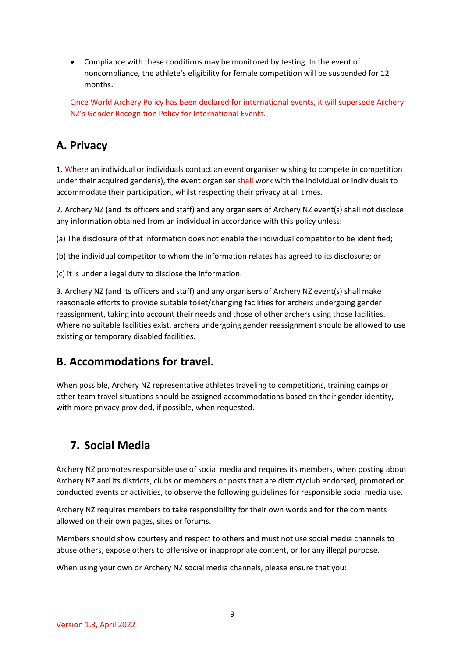• Compliance with these conditions may be monitored by testing. In the event of noncompliance, the athlete's eligibility for female competition will be suspended for 12 months.

Once World Archery Policy has been declared for international events, it will supersede Archery NZ's Gender Recognition Policy for International Events.

#### **A. Privacy**

1. Where an individual or individuals contact an event organiser wishing to compete in competition under their acquired gender(s), the event organiser shall work with the individual or individuals to accommodate their participation, whilst respecting their privacy at all times.

2. Archery NZ (and its officers and staff) and any organisers of Archery NZ event(s) shall not disclose any information obtained from an individual in accordance with this policy unless:

(a) The disclosure of that information does not enable the individual competitor to be identified;

(b) the individual competitor to whom the information relates has agreed to its disclosure; or

(c) it is under a legal duty to disclose the information.

3. Archery NZ (and its officers and staff) and any organisers of Archery NZ event(s) shall make reasonable efforts to provide suitable toilet/changing facilities for archers undergoing gender reassignment, taking into account their needs and those of other archers using those facilities. Where no suitable facilities exist, archers undergoing gender reassignment should be allowed to use existing or temporary disabled facilities.

#### **B. Accommodations for travel.**

When possible, Archery NZ representative athletes traveling to competitions, training camps or other team travel situations should be assigned accommodations based on their gender identity, with more privacy provided, if possible, when requested.

### **7. Social Media**

Archery NZ promotes responsible use of social media and requires its members, when posting about Archery NZ and its districts, clubs or members or posts that are district/club endorsed, promoted or conducted events or activities, to observe the following guidelines for responsible social media use.

Archery NZ requires members to take responsibility for their own words and for the comments allowed on their own pages, sites or forums.

Members should show courtesy and respect to others and must not use social media channels to abuse others, expose others to offensive or inappropriate content, or for any illegal purpose.

When using your own or Archery NZ social media channels, please ensure that you: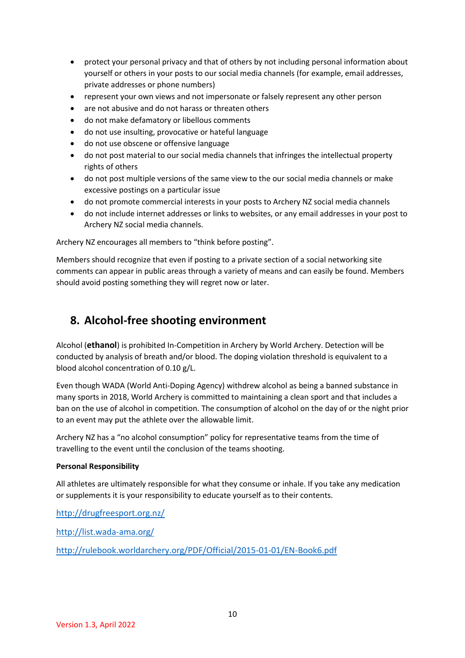- protect your personal privacy and that of others by not including personal information about yourself or others in your posts to our social media channels (for example, email addresses, private addresses or phone numbers)
- represent your own views and not impersonate or falsely represent any other person
- are not abusive and do not harass or threaten others
- do not make defamatory or libellous comments
- do not use insulting, provocative or hateful language
- do not use obscene or offensive language
- do not post material to our social media channels that infringes the intellectual property rights of others
- do not post multiple versions of the same view to the our social media channels or make excessive postings on a particular issue
- do not promote commercial interests in your posts to Archery NZ social media channels
- do not include internet addresses or links to websites, or any email addresses in your post to Archery NZ social media channels.

Archery NZ encourages all members to "think before posting".

Members should recognize that even if posting to a private section of a social networking site comments can appear in public areas through a variety of means and can easily be found. Members should avoid posting something they will regret now or later.

#### **8. Alcohol-free shooting environment**

Alcohol (**ethanol**) is prohibited In-Competition in Archery by World Archery. Detection will be conducted by analysis of breath and/or blood. The doping violation threshold is equivalent to a blood alcohol concentration of 0.10 g/L.

Even though WADA (World Anti-Doping Agency) withdrew alcohol as being a banned substance in many sports in 2018, World Archery is committed to maintaining a clean sport and that includes a ban on the use of alcohol in competition. The consumption of alcohol on the day of or the night prior to an event may put the athlete over the allowable limit.

Archery NZ has a "no alcohol consumption" policy for representative teams from the time of travelling to the event until the conclusion of the teams shooting.

#### **Personal Responsibility**

All athletes are ultimately responsible for what they consume or inhale. If you take any medication or supplements it is your responsibility to educate yourself as to their contents.

<http://drugfreesport.org.nz/>

<http://list.wada-ama.org/>

<http://rulebook.worldarchery.org/PDF/Official/2015-01-01/EN-Book6.pdf>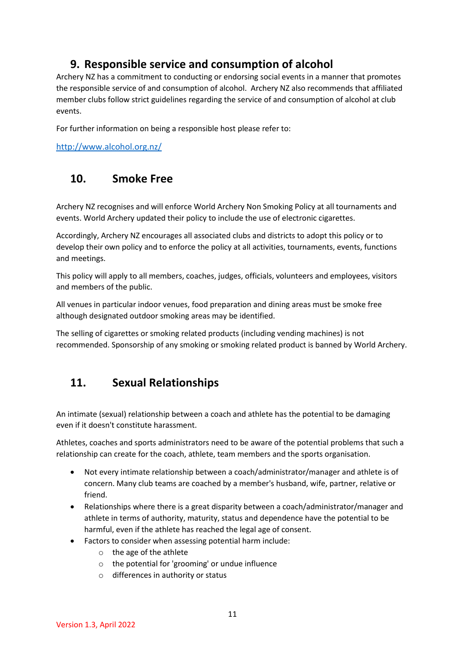#### **9. Responsible service and consumption of alcohol**

Archery NZ has a commitment to conducting or endorsing social events in a manner that promotes the responsible service of and consumption of alcohol. Archery NZ also recommends that affiliated member clubs follow strict guidelines regarding the service of and consumption of alcohol at club events.

For further information on being a responsible host please refer to:

<http://www.alcohol.org.nz/>

#### **10. Smoke Free**

Archery NZ recognises and will enforce World Archery Non Smoking Policy at all tournaments and events. World Archery updated their policy to include the use of electronic cigarettes.

Accordingly, Archery NZ encourages all associated clubs and districts to adopt this policy or to develop their own policy and to enforce the policy at all activities, tournaments, events, functions and meetings.

This policy will apply to all members, coaches, judges, officials, volunteers and employees, visitors and members of the public.

All venues in particular indoor venues, food preparation and dining areas must be smoke free although designated outdoor smoking areas may be identified.

The selling of cigarettes or smoking related products (including vending machines) is not recommended. Sponsorship of any smoking or smoking related product is banned by World Archery.

### **11. Sexual Relationships**

An intimate (sexual) relationship between a coach and athlete has the potential to be damaging even if it doesn't constitute harassment.

Athletes, coaches and sports administrators need to be aware of the potential problems that such a relationship can create for the coach, athlete, team members and the sports organisation.

- Not every intimate relationship between a coach/administrator/manager and athlete is of concern. Many club teams are coached by a member's husband, wife, partner, relative or friend.
- Relationships where there is a great disparity between a coach/administrator/manager and athlete in terms of authority, maturity, status and dependence have the potential to be harmful, even if the athlete has reached the legal age of consent.
- Factors to consider when assessing potential harm include:
	- o the age of the athlete
	- o the potential for 'grooming' or undue influence
	- o differences in authority or status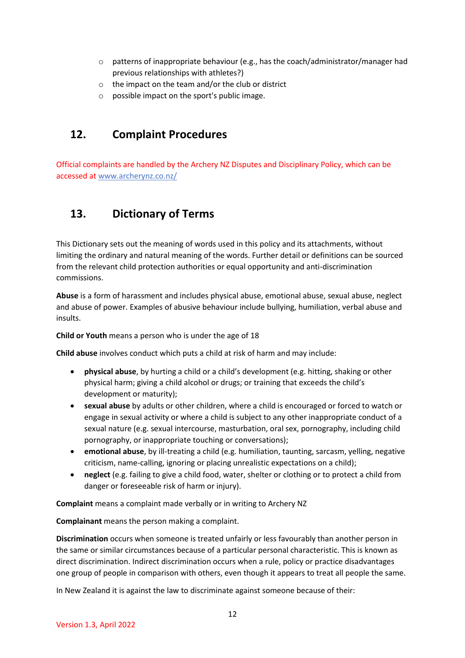- $\circ$  patterns of inappropriate behaviour (e.g., has the coach/administrator/manager had previous relationships with athletes?)
- o the impact on the team and/or the club or district
- o possible impact on the sport's public image.

#### **12. Complaint Procedures**

Official complaints are handled by the Archery NZ Disputes and Disciplinary Policy, which can be accessed at www[.archerynz.co.nz/](http://www.archerynz.co.nz/)

### **13. Dictionary of Terms**

This Dictionary sets out the meaning of words used in this policy and its attachments, without limiting the ordinary and natural meaning of the words. Further detail or definitions can be sourced from the relevant child protection authorities or equal opportunity and anti-discrimination commissions.

**Abuse** is a form of harassment and includes physical abuse, emotional abuse, sexual abuse, neglect and abuse of power. Examples of abusive behaviour include bullying, humiliation, verbal abuse and insults.

**Child or Youth** means a person who is under the age of 18

**Child abuse** involves conduct which puts a child at risk of harm and may include:

- **physical abuse**, by hurting a child or a child's development (e.g. hitting, shaking or other physical harm; giving a child alcohol or drugs; or training that exceeds the child's development or maturity);
- **sexual abuse** by adults or other children, where a child is encouraged or forced to watch or engage in sexual activity or where a child is subject to any other inappropriate conduct of a sexual nature (e.g. sexual intercourse, masturbation, oral sex, pornography, including child pornography, or inappropriate touching or conversations);
- **emotional abuse**, by ill-treating a child (e.g. humiliation, taunting, sarcasm, yelling, negative criticism, name-calling, ignoring or placing unrealistic expectations on a child);
- **neglect** (e.g. failing to give a child food, water, shelter or clothing or to protect a child from danger or foreseeable risk of harm or injury).

**Complaint** means a complaint made verbally or in writing to Archery NZ

**Complainant** means the person making a complaint.

**Discrimination** occurs when someone is treated unfairly or less favourably than another person in the same or similar circumstances because of a particular personal characteristic. This is known as direct discrimination. Indirect discrimination occurs when a rule, policy or practice disadvantages one group of people in comparison with others, even though it appears to treat all people the same.

In New Zealand it is against the law to discriminate against someone because of their: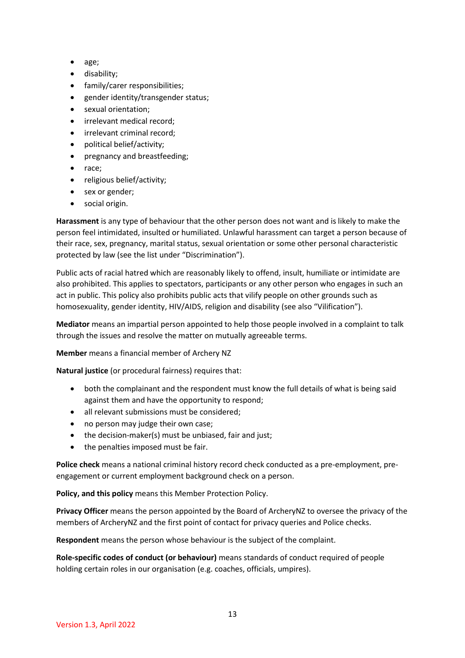- age;
- disability;
- family/carer responsibilities;
- gender identity/transgender status;
- sexual orientation;
- irrelevant medical record;
- irrelevant criminal record;
- political belief/activity;
- pregnancy and breastfeeding;
- race;
- religious belief/activity;
- sex or gender;
- social origin.

**Harassment** is any type of behaviour that the other person does not want and is likely to make the person feel intimidated, insulted or humiliated. Unlawful harassment can target a person because of their race, sex, pregnancy, marital status, sexual orientation or some other personal characteristic protected by law (see the list under "Discrimination").

Public acts of racial hatred which are reasonably likely to offend, insult, humiliate or intimidate are also prohibited. This applies to spectators, participants or any other person who engages in such an act in public. This policy also prohibits public acts that vilify people on other grounds such as homosexuality, gender identity, HIV/AIDS, religion and disability (see also "Vilification").

**Mediator** means an impartial person appointed to help those people involved in a complaint to talk through the issues and resolve the matter on mutually agreeable terms.

**Member** means a financial member of Archery NZ

**Natural justice** (or procedural fairness) requires that:

- both the complainant and the respondent must know the full details of what is being said against them and have the opportunity to respond;
- all relevant submissions must be considered;
- no person may judge their own case;
- the decision-maker(s) must be unbiased, fair and just;
- the penalties imposed must be fair.

**Police check** means a national criminal history record check conducted as a pre-employment, preengagement or current employment background check on a person.

**Policy, and this policy** means this Member Protection Policy.

**Privacy Officer** means the person appointed by the Board of ArcheryNZ to oversee the privacy of the members of ArcheryNZ and the first point of contact for privacy queries and Police checks.

**Respondent** means the person whose behaviour is the subject of the complaint.

**Role-specific codes of conduct (or behaviour)** means standards of conduct required of people holding certain roles in our organisation (e.g. coaches, officials, umpires).